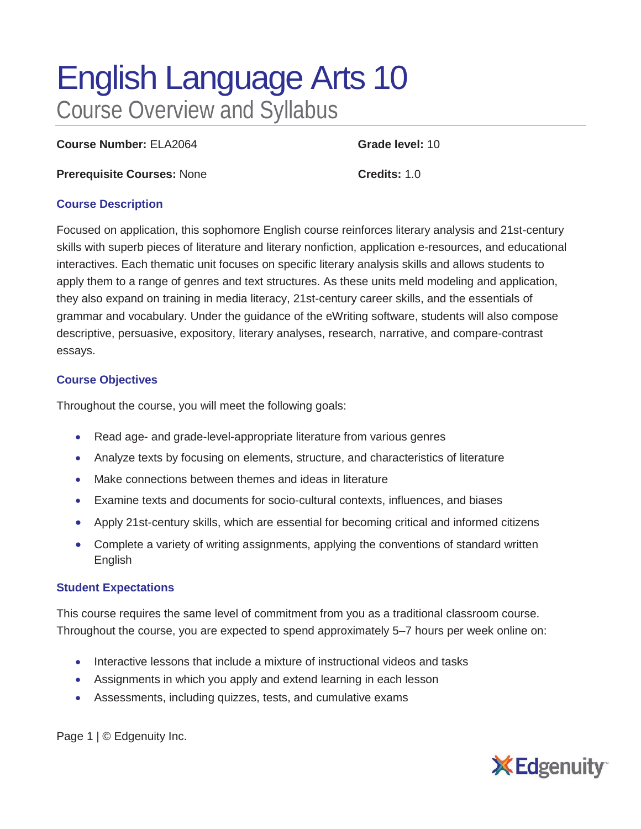# English Language Arts 10 Course Overview and Syllabus

**Course Number:** ELA2064 **Grade level:** 10

**Prerequisite Courses:** None **Credits:** 1.0

#### **Course Description**

Focused on application, this sophomore English course reinforces literary analysis and 21st-century skills with superb pieces of literature and literary nonfiction, application e-resources, and educational interactives. Each thematic unit focuses on specific literary analysis skills and allows students to apply them to a range of genres and text structures. As these units meld modeling and application, they also expand on training in media literacy, 21st-century career skills, and the essentials of grammar and vocabulary. Under the guidance of the eWriting software, students will also compose descriptive, persuasive, expository, literary analyses, research, narrative, and compare-contrast essays.

#### **Course Objectives**

Throughout the course, you will meet the following goals:

- Read age- and grade-level-appropriate literature from various genres
- Analyze texts by focusing on elements, structure, and characteristics of literature
- Make connections between themes and ideas in literature
- Examine texts and documents for socio-cultural contexts, influences, and biases
- Apply 21st-century skills, which are essential for becoming critical and informed citizens
- Complete a variety of writing assignments, applying the conventions of standard written English

#### **Student Expectations**

This course requires the same level of commitment from you as a traditional classroom course. Throughout the course, you are expected to spend approximately 5–7 hours per week online on:

- Interactive lessons that include a mixture of instructional videos and tasks
- Assignments in which you apply and extend learning in each lesson
- Assessments, including quizzes, tests, and cumulative exams

Page 1 | © Edgenuity Inc.